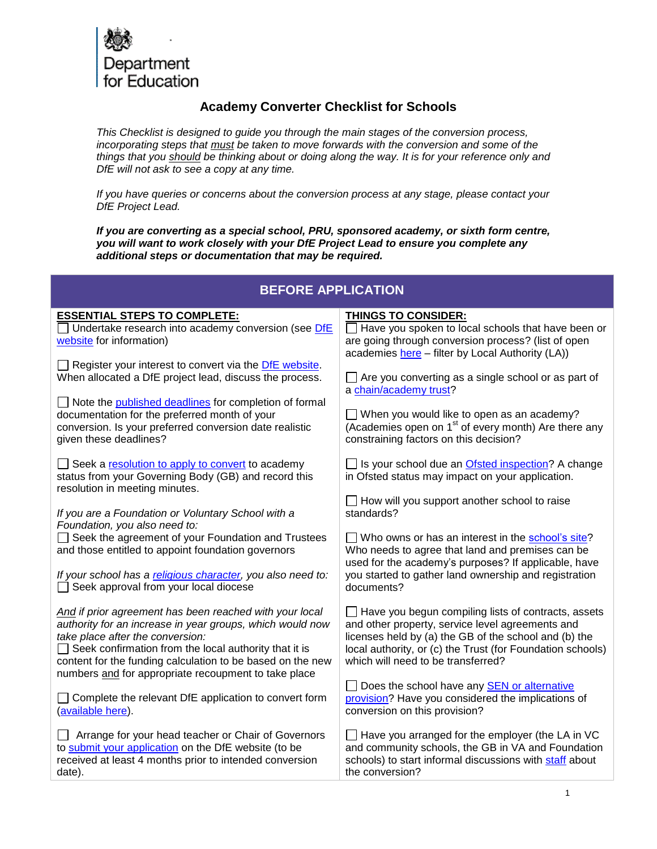

## **Academy Converter Checklist for Schools**

*This Checklist is designed to guide you through the main stages of the conversion process, incorporating steps that must be taken to move forwards with the conversion and some of the things that you should be thinking about or doing along the way. It is for your reference only and DfE will not ask to see a copy at any time.* 

*If you have queries or concerns about the conversion process at any stage, please contact your DfE Project Lead.* 

*If you are converting as a special school, PRU, sponsored academy, or sixth form centre, you will want to work closely with your DfE Project Lead to ensure you complete any additional steps or documentation that may be required.*

## **BEFORE APPLICATION**

| <b>ESSENTIAL STEPS TO COMPLETE:</b>                                                                      | <b>THINGS TO CONSIDER:</b>                                                                                            |
|----------------------------------------------------------------------------------------------------------|-----------------------------------------------------------------------------------------------------------------------|
| Undertake research into academy conversion (see DfE                                                      | Have you spoken to local schools that have been or                                                                    |
| website for information)                                                                                 | are going through conversion process? (list of open                                                                   |
|                                                                                                          | academies here - filter by Local Authority (LA))                                                                      |
| Register your interest to convert via the DfE website.                                                   |                                                                                                                       |
| When allocated a DfE project lead, discuss the process.                                                  | $\Box$ Are you converting as a single school or as part of                                                            |
|                                                                                                          | a chain/academy trust?                                                                                                |
| Note the <b>published deadlines</b> for completion of formal                                             |                                                                                                                       |
| documentation for the preferred month of your<br>conversion. Is your preferred conversion date realistic | $\Box$ When you would like to open as an academy?<br>(Academies open on 1 <sup>st</sup> of every month) Are there any |
| given these deadlines?                                                                                   | constraining factors on this decision?                                                                                |
|                                                                                                          |                                                                                                                       |
| Seek a resolution to apply to convert to academy                                                         | □ Is your school due an Ofsted inspection? A change                                                                   |
| status from your Governing Body (GB) and record this                                                     | in Ofsted status may impact on your application.                                                                      |
| resolution in meeting minutes.                                                                           |                                                                                                                       |
|                                                                                                          | $\Box$ How will you support another school to raise                                                                   |
| If you are a Foundation or Voluntary School with a                                                       | standards?                                                                                                            |
| Foundation, you also need to:                                                                            |                                                                                                                       |
| Seek the agreement of your Foundation and Trustees                                                       | $\Box$ Who owns or has an interest in the school's site?                                                              |
| and those entitled to appoint foundation governors                                                       | Who needs to agree that land and premises can be                                                                      |
|                                                                                                          | used for the academy's purposes? If applicable, have                                                                  |
| If your school has a religious character, you also need to:                                              | you started to gather land ownership and registration                                                                 |
| Seek approval from your local diocese                                                                    | documents?                                                                                                            |
| And if prior agreement has been reached with your local                                                  | Have you begun compiling lists of contracts, assets                                                                   |
| authority for an increase in year groups, which would now                                                | and other property, service level agreements and                                                                      |
| take place after the conversion:                                                                         | licenses held by (a) the GB of the school and (b) the                                                                 |
| $\Box$ Seek confirmation from the local authority that it is                                             | local authority, or (c) the Trust (for Foundation schools)                                                            |
| content for the funding calculation to be based on the new                                               | which will need to be transferred?                                                                                    |
| numbers and for appropriate recoupment to take place                                                     |                                                                                                                       |
|                                                                                                          | Does the school have any <b>SEN</b> or alternative                                                                    |
| $\Box$ Complete the relevant DfE application to convert form                                             | provision? Have you considered the implications of                                                                    |
| (available here).                                                                                        | conversion on this provision?                                                                                         |
|                                                                                                          |                                                                                                                       |
| Arrange for your head teacher or Chair of Governors                                                      | Have you arranged for the employer (the LA in VC                                                                      |
| to submit your application on the DfE website (to be                                                     | and community schools, the GB in VA and Foundation                                                                    |
| received at least 4 months prior to intended conversion                                                  | schools) to start informal discussions with staff about                                                               |
| date).                                                                                                   | the conversion?                                                                                                       |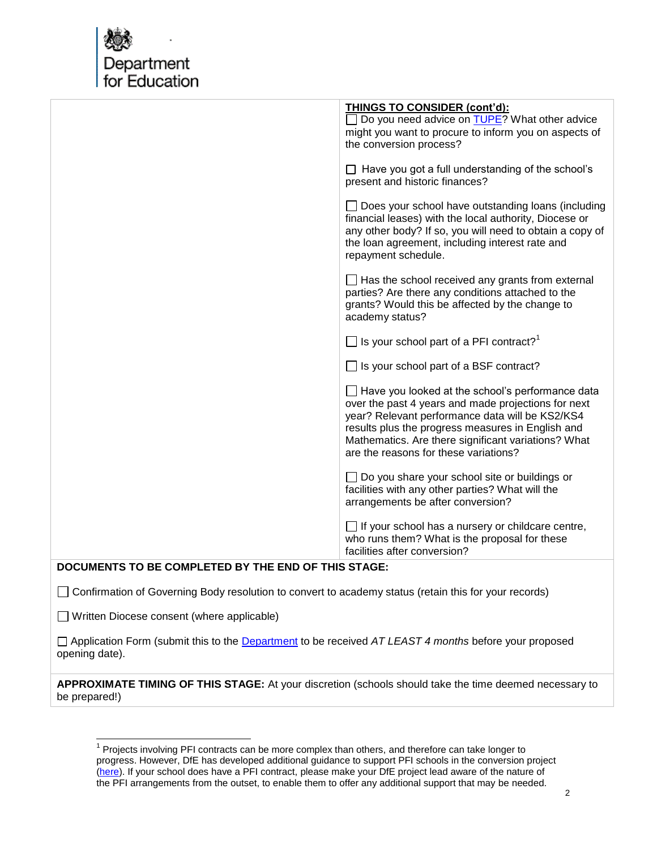

|                                                                                                                           | <b>THINGS TO CONSIDER (cont'd):</b><br>Do you need advice on TUPE? What other advice<br>might you want to procure to inform you on aspects of<br>the conversion process?                                                                                                                                               |  |
|---------------------------------------------------------------------------------------------------------------------------|------------------------------------------------------------------------------------------------------------------------------------------------------------------------------------------------------------------------------------------------------------------------------------------------------------------------|--|
|                                                                                                                           | $\Box$ Have you got a full understanding of the school's<br>present and historic finances?                                                                                                                                                                                                                             |  |
|                                                                                                                           | $\Box$ Does your school have outstanding loans (including<br>financial leases) with the local authority, Diocese or<br>any other body? If so, you will need to obtain a copy of<br>the loan agreement, including interest rate and<br>repayment schedule.                                                              |  |
|                                                                                                                           | $\Box$ Has the school received any grants from external<br>parties? Are there any conditions attached to the<br>grants? Would this be affected by the change to<br>academy status?                                                                                                                                     |  |
|                                                                                                                           | $\Box$ Is your school part of a PFI contract? <sup>1</sup>                                                                                                                                                                                                                                                             |  |
|                                                                                                                           | $\Box$ Is your school part of a BSF contract?                                                                                                                                                                                                                                                                          |  |
|                                                                                                                           | $\Box$ Have you looked at the school's performance data<br>over the past 4 years and made projections for next<br>year? Relevant performance data will be KS2/KS4<br>results plus the progress measures in English and<br>Mathematics. Are there significant variations? What<br>are the reasons for these variations? |  |
|                                                                                                                           | $\Box$ Do you share your school site or buildings or<br>facilities with any other parties? What will the<br>arrangements be after conversion?                                                                                                                                                                          |  |
|                                                                                                                           | $\Box$ If your school has a nursery or childcare centre,<br>who runs them? What is the proposal for these<br>facilities after conversion?                                                                                                                                                                              |  |
| DOCUMENTS TO BE COMPLETED BY THE END OF THIS STAGE:                                                                       |                                                                                                                                                                                                                                                                                                                        |  |
| Confirmation of Governing Body resolution to convert to academy status (retain this for your records)                     |                                                                                                                                                                                                                                                                                                                        |  |
| Written Diocese consent (where applicable)                                                                                |                                                                                                                                                                                                                                                                                                                        |  |
| □ Application Form (submit this to the Department to be received AT LEAST 4 months before your proposed<br>opening date). |                                                                                                                                                                                                                                                                                                                        |  |
| APPROXIMATE TIMING OF THIS STAGE: At your discretion (schools should take the time deemed necessary to                    |                                                                                                                                                                                                                                                                                                                        |  |

be prepared!)

 1 Projects involving PFI contracts can be more complex than others, and therefore can take longer to progress. However, DfE has developed additional guidance to support PFI schools in the conversion project [\(here\)](http://www.education.gov.uk/schools/leadership/typesofschools/academies/primary/steps/a00204867/pfi-academy-projects). If your school does have a PFI contract, please make your DfE project lead aware of the nature of the PFI arrangements from the outset, to enable them to offer any additional support that may be needed.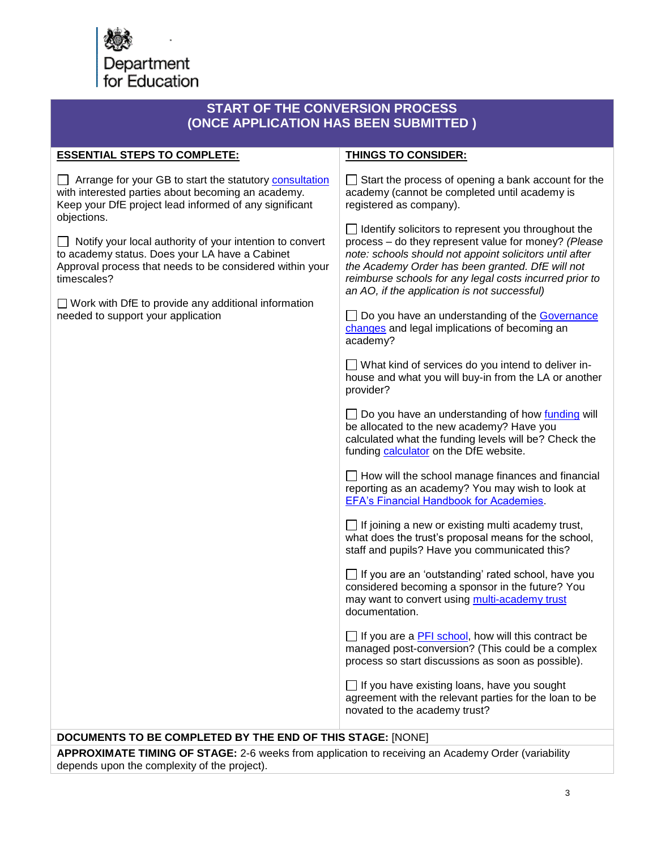

| <b>START OF THE CONVERSION PROCESS</b><br>(ONCE APPLICATION HAS BEEN SUBMITTED)                                                                                                                                                                                                                                                                                                                                                                                                            |                                                                                                                                                                                                                                                                                                                                              |  |
|--------------------------------------------------------------------------------------------------------------------------------------------------------------------------------------------------------------------------------------------------------------------------------------------------------------------------------------------------------------------------------------------------------------------------------------------------------------------------------------------|----------------------------------------------------------------------------------------------------------------------------------------------------------------------------------------------------------------------------------------------------------------------------------------------------------------------------------------------|--|
| <b>ESSENTIAL STEPS TO COMPLETE:</b>                                                                                                                                                                                                                                                                                                                                                                                                                                                        | <b>THINGS TO CONSIDER:</b>                                                                                                                                                                                                                                                                                                                   |  |
| Arrange for your GB to start the statutory consultation<br>with interested parties about becoming an academy.<br>Keep your DfE project lead informed of any significant<br>objections.<br>$\Box$ Notify your local authority of your intention to convert<br>to academy status. Does your LA have a Cabinet<br>Approval process that needs to be considered within your<br>timescales?<br>$\Box$ Work with DfE to provide any additional information<br>needed to support your application | Start the process of opening a bank account for the<br>academy (cannot be completed until academy is<br>registered as company).                                                                                                                                                                                                              |  |
|                                                                                                                                                                                                                                                                                                                                                                                                                                                                                            | $\Box$ Identify solicitors to represent you throughout the<br>process - do they represent value for money? (Please<br>note: schools should not appoint solicitors until after<br>the Academy Order has been granted. DfE will not<br>reimburse schools for any legal costs incurred prior to<br>an AO, if the application is not successful) |  |
|                                                                                                                                                                                                                                                                                                                                                                                                                                                                                            | Do you have an understanding of the Governance<br>changes and legal implications of becoming an<br>academy?                                                                                                                                                                                                                                  |  |
|                                                                                                                                                                                                                                                                                                                                                                                                                                                                                            | □ What kind of services do you intend to deliver in-<br>house and what you will buy-in from the LA or another<br>provider?                                                                                                                                                                                                                   |  |
|                                                                                                                                                                                                                                                                                                                                                                                                                                                                                            | □ Do you have an understanding of how funding will<br>be allocated to the new academy? Have you<br>calculated what the funding levels will be? Check the<br>funding calculator on the DfE website.                                                                                                                                           |  |
|                                                                                                                                                                                                                                                                                                                                                                                                                                                                                            | $\Box$ How will the school manage finances and financial<br>reporting as an academy? You may wish to look at<br><b>EFA's Financial Handbook for Academies.</b>                                                                                                                                                                               |  |
|                                                                                                                                                                                                                                                                                                                                                                                                                                                                                            | $\Box$ If joining a new or existing multi academy trust,<br>what does the trust's proposal means for the school,<br>staff and pupils? Have you communicated this?                                                                                                                                                                            |  |
|                                                                                                                                                                                                                                                                                                                                                                                                                                                                                            | If you are an 'outstanding' rated school, have you<br>considered becoming a sponsor in the future? You<br>may want to convert using multi-academy trust<br>documentation.                                                                                                                                                                    |  |
|                                                                                                                                                                                                                                                                                                                                                                                                                                                                                            | $\Box$ If you are a PFI school, how will this contract be<br>managed post-conversion? (This could be a complex<br>process so start discussions as soon as possible).                                                                                                                                                                         |  |
|                                                                                                                                                                                                                                                                                                                                                                                                                                                                                            | $\Box$ If you have existing loans, have you sought<br>agreement with the relevant parties for the loan to be<br>novated to the academy trust?                                                                                                                                                                                                |  |

## **DOCUMENTS TO BE COMPLETED BY THE END OF THIS STAGE:** [NONE]

**APPROXIMATE TIMING OF STAGE:** 2-6 weeks from application to receiving an Academy Order (variability depends upon the complexity of the project).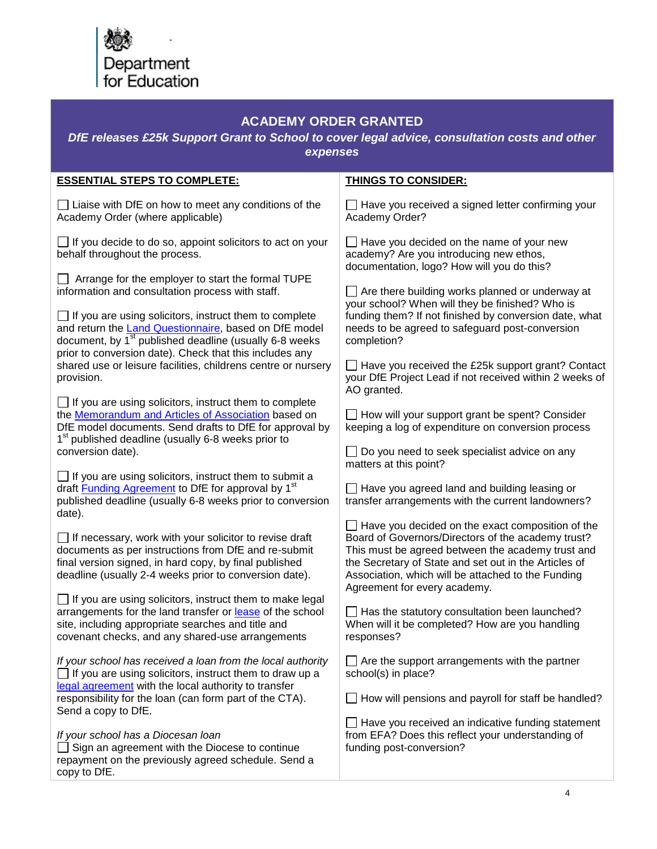

## **ACADEMY ORDER GRANTED**

*DfE releases £25k Support Grant to School to cover legal advice, consultation costs and other expenses*

| <b>ESSENTIAL STEPS TO COMPLETE:</b>                                                                                                                                                                                                               | <b>THINGS TO CONSIDER:</b>                                                                                                                                                                                                                                                                                        |
|---------------------------------------------------------------------------------------------------------------------------------------------------------------------------------------------------------------------------------------------------|-------------------------------------------------------------------------------------------------------------------------------------------------------------------------------------------------------------------------------------------------------------------------------------------------------------------|
| $\Box$ Liaise with DfE on how to meet any conditions of the<br>Academy Order (where applicable)                                                                                                                                                   | $\Box$ Have you received a signed letter confirming your<br>Academy Order?                                                                                                                                                                                                                                        |
| $\Box$ If you decide to do so, appoint solicitors to act on your<br>behalf throughout the process.                                                                                                                                                | $\Box$ Have you decided on the name of your new<br>academy? Are you introducing new ethos,<br>documentation, logo? How will you do this?                                                                                                                                                                          |
| $\Box$ Arrange for the employer to start the formal TUPE<br>information and consultation process with staff.                                                                                                                                      | $\Box$ Are there building works planned or underway at<br>your school? When will they be finished? Who is                                                                                                                                                                                                         |
| $\Box$ If you are using solicitors, instruct them to complete<br>and return the Land Questionnaire, based on DfE model<br>document, by 1 <sup>st</sup> published deadline (usually 6-8 weeks                                                      | funding them? If not finished by conversion date, what<br>needs to be agreed to safeguard post-conversion<br>completion?                                                                                                                                                                                          |
| prior to conversion date). Check that this includes any<br>shared use or leisure facilities, childrens centre or nursery<br>provision.                                                                                                            | $\Box$ Have you received the £25k support grant? Contact<br>your DfE Project Lead if not received within 2 weeks of<br>AO granted.                                                                                                                                                                                |
| $\Box$ If you are using solicitors, instruct them to complete<br>the Memorandum and Articles of Association based on<br>DfE model documents. Send drafts to DfE for approval by<br>1 <sup>st</sup> published deadline (usually 6-8 weeks prior to | $\Box$ How will your support grant be spent? Consider<br>keeping a log of expenditure on conversion process                                                                                                                                                                                                       |
| conversion date).                                                                                                                                                                                                                                 | Do you need to seek specialist advice on any<br>matters at this point?                                                                                                                                                                                                                                            |
| $\Box$ If you are using solicitors, instruct them to submit a<br>draft <b>Funding Agreement</b> to DfE for approval by 1 <sup>st</sup><br>published deadline (usually 6-8 weeks prior to conversion<br>date).                                     | $\Box$ Have you agreed land and building leasing or<br>transfer arrangements with the current landowners?                                                                                                                                                                                                         |
| $\Box$ If necessary, work with your solicitor to revise draft<br>documents as per instructions from DfE and re-submit<br>final version signed, in hard copy, by final published<br>deadline (usually 2-4 weeks prior to conversion date).         | $\Box$ Have you decided on the exact composition of the<br>Board of Governors/Directors of the academy trust?<br>This must be agreed between the academy trust and<br>the Secretary of State and set out in the Articles of<br>Association, which will be attached to the Funding<br>Agreement for every academy. |
| $\Box$ If you are using solicitors, instruct them to make legal<br>arrangements for the land transfer or lease of the school<br>site, including appropriate searches and title and<br>covenant checks, and any shared-use arrangements            | Has the statutory consultation been launched?<br>When will it be completed? How are you handling<br>responses?                                                                                                                                                                                                    |
| If your school has received a loan from the local authority<br>$\Box$ If you are using solicitors, instruct them to draw up a                                                                                                                     | $\Box$ Are the support arrangements with the partner<br>school(s) in place?                                                                                                                                                                                                                                       |
| legal agreement with the local authority to transfer<br>responsibility for the loan (can form part of the CTA).<br>Send a copy to DfE.                                                                                                            | How will pensions and payroll for staff be handled?                                                                                                                                                                                                                                                               |
| If your school has a Diocesan Ioan<br>$\Box$ Sign an agreement with the Diocese to continue<br>repayment on the previously agreed schedule. Send a<br>copy to DfE.                                                                                | $\Box$ Have you received an indicative funding statement<br>from EFA? Does this reflect your understanding of<br>funding post-conversion?                                                                                                                                                                         |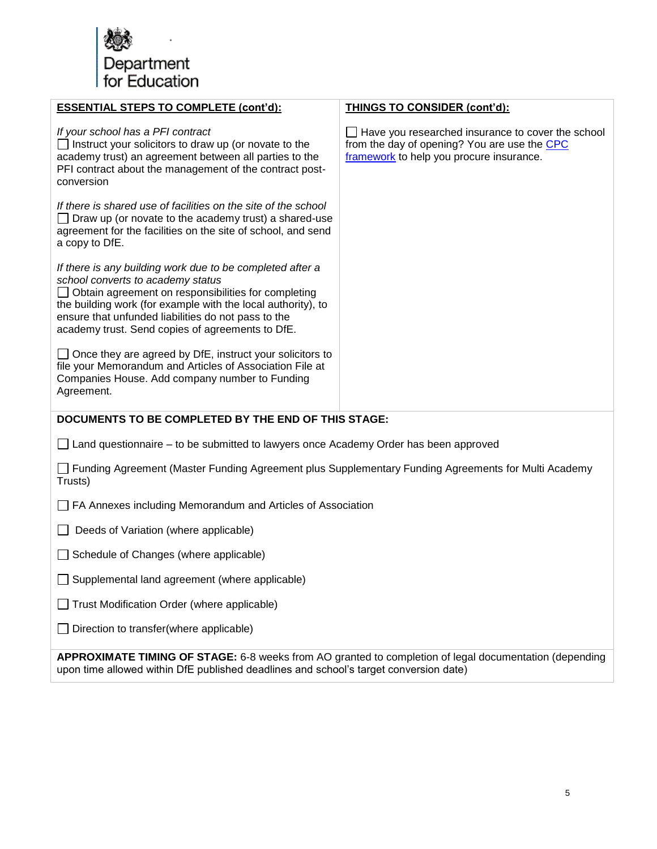

| <b>ESSENTIAL STEPS TO COMPLETE (cont'd):</b>                                                                                                                                                                                                                                                                                     | <b>THINGS TO CONSIDER (cont'd):</b>                                                                                                                  |
|----------------------------------------------------------------------------------------------------------------------------------------------------------------------------------------------------------------------------------------------------------------------------------------------------------------------------------|------------------------------------------------------------------------------------------------------------------------------------------------------|
| If your school has a PFI contract<br>$\Box$ Instruct your solicitors to draw up (or novate to the<br>academy trust) an agreement between all parties to the<br>PFI contract about the management of the contract post-<br>conversion                                                                                             | $\Box$ Have you researched insurance to cover the school<br>from the day of opening? You are use the CPC<br>framework to help you procure insurance. |
| If there is shared use of facilities on the site of the school<br>Draw up (or novate to the academy trust) a shared-use<br>agreement for the facilities on the site of school, and send<br>a copy to DfE.                                                                                                                        |                                                                                                                                                      |
| If there is any building work due to be completed after a<br>school converts to academy status<br>Obtain agreement on responsibilities for completing<br>the building work (for example with the local authority), to<br>ensure that unfunded liabilities do not pass to the<br>academy trust. Send copies of agreements to DfE. |                                                                                                                                                      |
| $\Box$ Once they are agreed by DfE, instruct your solicitors to<br>file your Memorandum and Articles of Association File at<br>Companies House. Add company number to Funding<br>Agreement.                                                                                                                                      |                                                                                                                                                      |
| DOCUMENTS TO BE COMPLETED BY THE END OF THIS STAGE:                                                                                                                                                                                                                                                                              |                                                                                                                                                      |
| $\Box$ Land questionnaire – to be submitted to lawyers once Academy Order has been approved                                                                                                                                                                                                                                      |                                                                                                                                                      |
| Funding Agreement (Master Funding Agreement plus Supplementary Funding Agreements for Multi Academy<br>Trusts)                                                                                                                                                                                                                   |                                                                                                                                                      |
| FA Annexes including Memorandum and Articles of Association                                                                                                                                                                                                                                                                      |                                                                                                                                                      |
| Deeds of Variation (where applicable)                                                                                                                                                                                                                                                                                            |                                                                                                                                                      |
| Schedule of Changes (where applicable)                                                                                                                                                                                                                                                                                           |                                                                                                                                                      |
| □ Supplemental land agreement (where applicable)                                                                                                                                                                                                                                                                                 |                                                                                                                                                      |
| Trust Modification Order (where applicable)                                                                                                                                                                                                                                                                                      |                                                                                                                                                      |
| Direction to transfer(where applicable)                                                                                                                                                                                                                                                                                          |                                                                                                                                                      |
| APPROXIMATE TIMING OF STAGE: 6-8 weeks from AO granted to completion of legal documentation (depending<br>upon time allowed within DfE published deadlines and school's target conversion date)                                                                                                                                  |                                                                                                                                                      |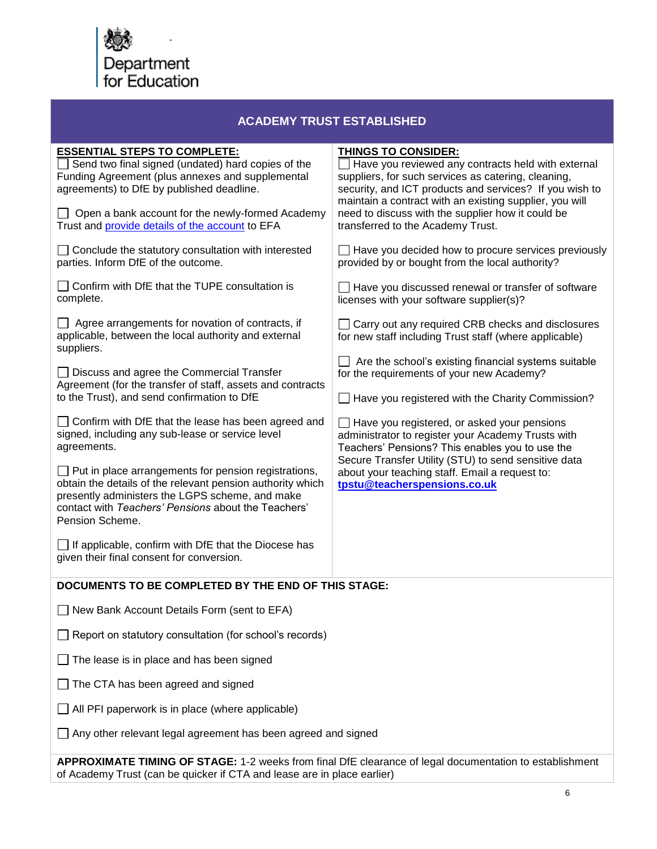

| <b>ACADEMY TRUST ESTABLISHED</b>                                                                                                                                                                                                                       |                                                                                                                                                                                                                                                                      |
|--------------------------------------------------------------------------------------------------------------------------------------------------------------------------------------------------------------------------------------------------------|----------------------------------------------------------------------------------------------------------------------------------------------------------------------------------------------------------------------------------------------------------------------|
| <b>ESSENTIAL STEPS TO COMPLETE:</b><br>Send two final signed (undated) hard copies of the<br>Funding Agreement (plus annexes and supplemental<br>agreements) to DfE by published deadline.                                                             | <b>THINGS TO CONSIDER:</b><br>$\Box$ Have you reviewed any contracts held with external<br>suppliers, for such services as catering, cleaning,<br>security, and ICT products and services? If you wish to<br>maintain a contract with an existing supplier, you will |
| Open a bank account for the newly-formed Academy<br>Trust and provide details of the account to EFA                                                                                                                                                    | need to discuss with the supplier how it could be<br>transferred to the Academy Trust.                                                                                                                                                                               |
| Conclude the statutory consultation with interested<br>parties. Inform DfE of the outcome.                                                                                                                                                             | $\Box$ Have you decided how to procure services previously<br>provided by or bought from the local authority?                                                                                                                                                        |
| Confirm with DfE that the TUPE consultation is<br>complete.                                                                                                                                                                                            | Have you discussed renewal or transfer of software<br>licenses with your software supplier(s)?                                                                                                                                                                       |
| Agree arrangements for novation of contracts, if<br>applicable, between the local authority and external<br>suppliers.                                                                                                                                 | □ Carry out any required CRB checks and disclosures<br>for new staff including Trust staff (where applicable)                                                                                                                                                        |
| Discuss and agree the Commercial Transfer                                                                                                                                                                                                              | $\Box$ Are the school's existing financial systems suitable<br>for the requirements of your new Academy?                                                                                                                                                             |
| Agreement (for the transfer of staff, assets and contracts<br>to the Trust), and send confirmation to DfE                                                                                                                                              | Have you registered with the Charity Commission?                                                                                                                                                                                                                     |
| Confirm with DfE that the lease has been agreed and<br>signed, including any sub-lease or service level<br>agreements.                                                                                                                                 | $\Box$ Have you registered, or asked your pensions<br>administrator to register your Academy Trusts with<br>Teachers' Pensions? This enables you to use the                                                                                                          |
| $\Box$ Put in place arrangements for pension registrations,<br>obtain the details of the relevant pension authority which<br>presently administers the LGPS scheme, and make<br>contact with Teachers' Pensions about the Teachers'<br>Pension Scheme. | Secure Transfer Utility (STU) to send sensitive data<br>about your teaching staff. Email a request to:<br>tpstu@teacherspensions.co.uk                                                                                                                               |
| $\Box$ If applicable, confirm with DfE that the Diocese has<br>given their final consent for conversion.                                                                                                                                               |                                                                                                                                                                                                                                                                      |
| DOCUMENTS TO BE COMPLETED BY THE END OF THIS STAGE:                                                                                                                                                                                                    |                                                                                                                                                                                                                                                                      |
| New Bank Account Details Form (sent to EFA)                                                                                                                                                                                                            |                                                                                                                                                                                                                                                                      |
| Report on statutory consultation (for school's records)                                                                                                                                                                                                |                                                                                                                                                                                                                                                                      |
| The lease is in place and has been signed                                                                                                                                                                                                              |                                                                                                                                                                                                                                                                      |
| The CTA has been agreed and signed                                                                                                                                                                                                                     |                                                                                                                                                                                                                                                                      |
| All PFI paperwork is in place (where applicable)                                                                                                                                                                                                       |                                                                                                                                                                                                                                                                      |
| Any other relevant legal agreement has been agreed and signed                                                                                                                                                                                          |                                                                                                                                                                                                                                                                      |
|                                                                                                                                                                                                                                                        |                                                                                                                                                                                                                                                                      |

**APPROXIMATE TIMING OF STAGE:** 1-2 weeks from final DfE clearance of legal documentation to establishment of Academy Trust (can be quicker if CTA and lease are in place earlier)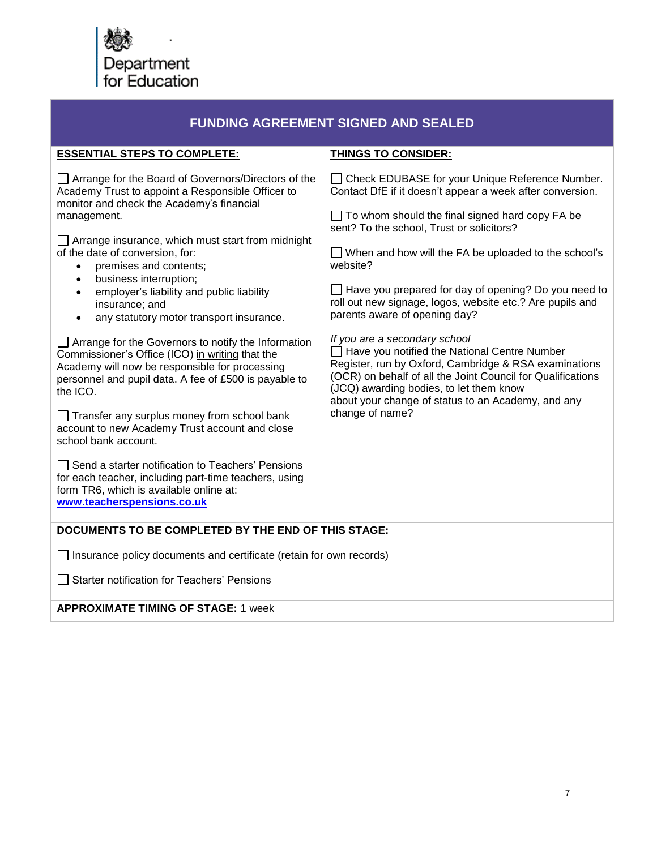

| <b>FUNDING AGREEMENT SIGNED AND SEALED</b>                                                                                                                                                                                                                                                                                                                                                                                                                                                                                                                                                                                                                                                                                                                                                                                                                                                                                                                                                                                               |                                                                                                                                                                                                                                                                                                                                                                                                                                                                                                                                                                                                                                                                                                                                                                                            |
|------------------------------------------------------------------------------------------------------------------------------------------------------------------------------------------------------------------------------------------------------------------------------------------------------------------------------------------------------------------------------------------------------------------------------------------------------------------------------------------------------------------------------------------------------------------------------------------------------------------------------------------------------------------------------------------------------------------------------------------------------------------------------------------------------------------------------------------------------------------------------------------------------------------------------------------------------------------------------------------------------------------------------------------|--------------------------------------------------------------------------------------------------------------------------------------------------------------------------------------------------------------------------------------------------------------------------------------------------------------------------------------------------------------------------------------------------------------------------------------------------------------------------------------------------------------------------------------------------------------------------------------------------------------------------------------------------------------------------------------------------------------------------------------------------------------------------------------------|
| <b>ESSENTIAL STEPS TO COMPLETE:</b>                                                                                                                                                                                                                                                                                                                                                                                                                                                                                                                                                                                                                                                                                                                                                                                                                                                                                                                                                                                                      | <b>THINGS TO CONSIDER:</b>                                                                                                                                                                                                                                                                                                                                                                                                                                                                                                                                                                                                                                                                                                                                                                 |
| Arrange for the Board of Governors/Directors of the<br>Academy Trust to appoint a Responsible Officer to<br>monitor and check the Academy's financial<br>management.<br>$\Box$ Arrange insurance, which must start from midnight<br>of the date of conversion, for:<br>premises and contents;<br>business interruption;<br>$\bullet$<br>employer's liability and public liability<br>$\bullet$<br>insurance; and<br>any statutory motor transport insurance.<br>$\bullet$<br>$\Box$ Arrange for the Governors to notify the Information<br>Commissioner's Office (ICO) in writing that the<br>Academy will now be responsible for processing<br>personnel and pupil data. A fee of £500 is payable to<br>the ICO.<br>$\Box$ Transfer any surplus money from school bank<br>account to new Academy Trust account and close<br>school bank account.<br>Send a starter notification to Teachers' Pensions<br>for each teacher, including part-time teachers, using<br>form TR6, which is available online at:<br>www.teacherspensions.co.uk | □ Check EDUBASE for your Unique Reference Number.<br>Contact DfE if it doesn't appear a week after conversion.<br>$\Box$ To whom should the final signed hard copy FA be<br>sent? To the school, Trust or solicitors?<br>$\Box$ When and how will the FA be uploaded to the school's<br>website?<br>$\Box$ Have you prepared for day of opening? Do you need to<br>roll out new signage, logos, website etc.? Are pupils and<br>parents aware of opening day?<br>If you are a secondary school<br>Have you notified the National Centre Number<br>Register, run by Oxford, Cambridge & RSA examinations<br>(OCR) on behalf of all the Joint Council for Qualifications<br>(JCQ) awarding bodies, to let them know<br>about your change of status to an Academy, and any<br>change of name? |
| DOCUMENTS TO BE COMPLETED BY THE END OF THIS STAGE:                                                                                                                                                                                                                                                                                                                                                                                                                                                                                                                                                                                                                                                                                                                                                                                                                                                                                                                                                                                      |                                                                                                                                                                                                                                                                                                                                                                                                                                                                                                                                                                                                                                                                                                                                                                                            |
| Insurance policy documents and certificate (retain for own records)                                                                                                                                                                                                                                                                                                                                                                                                                                                                                                                                                                                                                                                                                                                                                                                                                                                                                                                                                                      |                                                                                                                                                                                                                                                                                                                                                                                                                                                                                                                                                                                                                                                                                                                                                                                            |
| <b>Starter notification for Teachers' Pensions</b>                                                                                                                                                                                                                                                                                                                                                                                                                                                                                                                                                                                                                                                                                                                                                                                                                                                                                                                                                                                       |                                                                                                                                                                                                                                                                                                                                                                                                                                                                                                                                                                                                                                                                                                                                                                                            |
| <b>APPROXIMATE TIMING OF STAGE: 1 week</b>                                                                                                                                                                                                                                                                                                                                                                                                                                                                                                                                                                                                                                                                                                                                                                                                                                                                                                                                                                                               |                                                                                                                                                                                                                                                                                                                                                                                                                                                                                                                                                                                                                                                                                                                                                                                            |